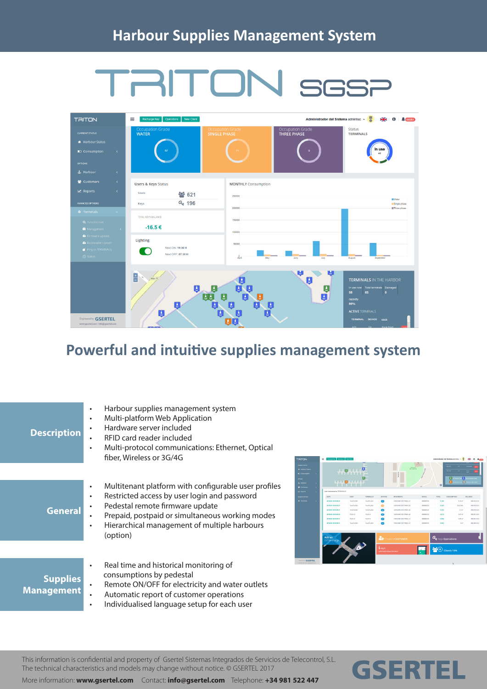## TRITON SGSP



## **Powerful and intuitive supplies management system**

| <b>Description</b>                   | Harbour supplies management system<br>$\bullet$<br>Multi-platform Web Application<br>$\bullet$<br>Hardware server included<br>٠<br>RFID card reader included<br>Multi-protocol communications: Ethernet, Optical<br>$\bullet$<br>fiber, Wireless or 3G/4G                                               | <b>TAITON</b> |                                                                                                                                   |                                                                 |                                            |                                                                                    |         |                                                                                   |  |
|--------------------------------------|---------------------------------------------------------------------------------------------------------------------------------------------------------------------------------------------------------------------------------------------------------------------------------------------------------|---------------|-----------------------------------------------------------------------------------------------------------------------------------|-----------------------------------------------------------------|--------------------------------------------|------------------------------------------------------------------------------------|---------|-----------------------------------------------------------------------------------|--|
|                                      |                                                                                                                                                                                                                                                                                                         |               | $\Box$ g                                                                                                                          |                                                                 |                                            |                                                                                    |         |                                                                                   |  |
| <b>General</b>                       | Multitenant platform with configurable user profiles<br>$\bullet$<br>Restricted access by user login and password<br>$\bullet$<br>Pedestal remote firmware update<br>٠<br>Prepaid, postpaid or simultaneous working modes<br>٠<br>Hierarchical management of multiple harbours<br>$\bullet$<br>(option) | A. Hatio      | 1014-04-10-09-08<br>1016-00-10-00-00-1<br>2018-08-10 09:04:0<br>101220-1020-00-0<br>1014-00-00-00-00-0<br><b>MAR RE ER PR.FR.</b> | .<br>24.8<br>Tom Ft.A2U<br><b>Syndical A.M.</b><br><b>DEALE</b> | <b>Dana Ett A16</b><br><b>TomeFill A75</b> | CONSIGNO DA TOMA C<br>CARLBAD EN TOMA /<br>VAND BAS EN TOMA :<br>Create a CUSTOMER | 0000011 | 1.334<br><b>Q</b> Keys Operations<br>$\bullet$ <sup>2</sup> $\bullet$ Clients 15% |  |
| <b>Supplies</b><br><b>Management</b> | Real time and historical monitoring of<br>$\bullet$<br>consumptions by pedestal<br>Remote ON/OFF for electricity and water outlets<br>$\bullet$<br>Automatic report of customer operations<br>$\bullet$<br>Individualised language setup for each user<br>$\bullet$                                     | $-$ GSERTI    |                                                                                                                                   |                                                                 |                                            |                                                                                    |         |                                                                                   |  |

E)

**GSERTEL** 

This information is confidential and property of Gsertel Sistemas Integrados de Servicios de Telecontrol, S.L. The technical characteristics and models may change without notice. © GSERTEL 2017